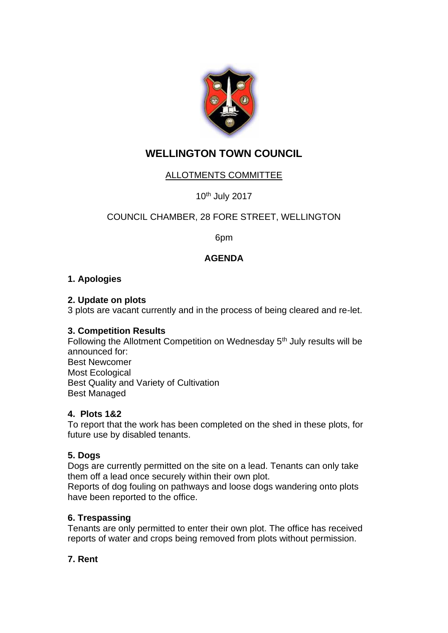

# **WELLINGTON TOWN COUNCIL**

# ALLOTMENTS COMMITTEE

10th July 2017

## COUNCIL CHAMBER, 28 FORE STREET, WELLINGTON

6pm

## **AGENDA**

#### **1. Apologies**

#### **2. Update on plots**

3 plots are vacant currently and in the process of being cleared and re-let.

#### **3. Competition Results**

Following the Allotment Competition on Wednesday 5<sup>th</sup> July results will be announced for: Best Newcomer Most Ecological Best Quality and Variety of Cultivation Best Managed

#### **4. Plots 1&2**

To report that the work has been completed on the shed in these plots, for future use by disabled tenants.

#### **5. Dogs**

Dogs are currently permitted on the site on a lead. Tenants can only take them off a lead once securely within their own plot.

Reports of dog fouling on pathways and loose dogs wandering onto plots have been reported to the office.

#### **6. Trespassing**

Tenants are only permitted to enter their own plot. The office has received reports of water and crops being removed from plots without permission.

#### **7. Rent**